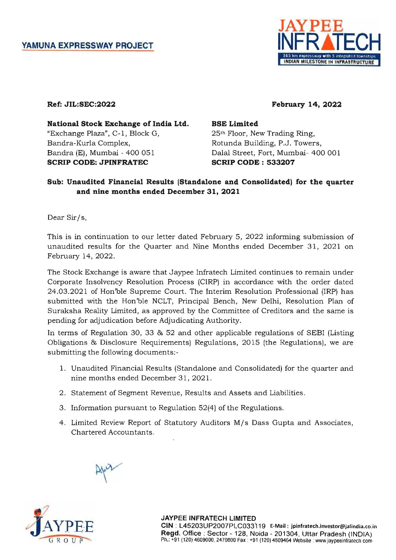

# Ref: JIL:SEC:2022

February 14, 2022

National Stock Exchange of India Ltd. "Exchange Plaza", C-1, Block G, Bandra-Kurla Complex, Bandra (E), Mumbai - 400 051 SCRIP CODE: JPINFRATEC

# BSE Limited

25th Floor, New Trading Ring, Rotunda Building, P.J. Towers, Dalal Street, Fort, Mumbai- 400 001 SCRIP CODE: 533207

# Sub: Unaudited Financial Results (Standalone and Consolidated) for the quarter and nine months ended December 31,2021

Dear Sir/s,

This is in continuation to our letter dated February 5, 2022 informing submission of unaudited results for the Quarter and Nine Months ended December 31, 2021 on February 14, 2022.

The Stock Exchange is aware that Jaypee Infratech Limited continues to remain under Corporate Insolvency Resolution Process (CIRP) in accordance with the order dated 24.03.2021 of Hon'ble Supreme Court. The Interim Resolution Professional (IRP) has submitted with the Hon'ble NCLT, Principal Bench, New Delhi, Resolution Plan of Suraksha Reality Limited, as approved by the Committee of Creditors and the same is pending for adjudication before Adjudicating Authority.

In terms of Regulation 30, 33 & 52 and other applicable regulations of SEBI (Listing Obligations & Disclosure Requirements) Regulations, 2015 (the Regulations), we are submitting the following documents:-

- 1. Unaudited Financial Results (Standalone and Consolidated) for the quarter and nine months ended December 31, 2021.
- 2. Statement of Segment Revenue, Results and Assets and Liabilities.
- 3. Information pursuant to Regulation 52(4) of the Regulations.
- 4. Limited Review Report of Statutory Auditors M/s Dass Gupta and Associates, Chartered Accountants.





JAYPEE INFRATECH LIMITED CIN : L45203UP2007PLC033119 E-Mail: jpinfratech.investor@jalindia.co.in Regd. Office: Sector - 128, Noida - 201304, Uttar Pradesh (INDIA) Ph.: +91 (120) 4609000, 2470800 Fax: +91 (120) 4609464 Website: www.jaypeeinfralech com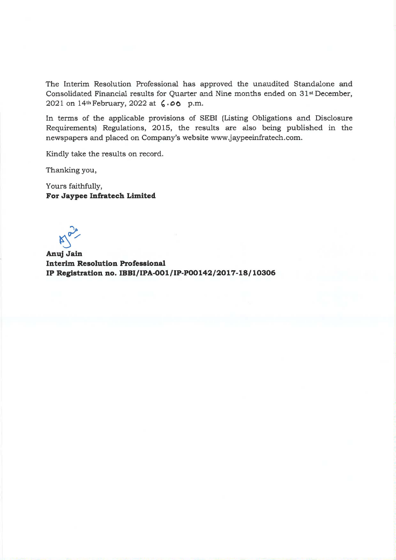The Interim Resolution Professional has approved the unaudited Standalone and Consolidated Financial results for Quarter and Nine months ended on 31st December, 2021 on 14th February, 2022 at **'.00** p.m.

In terms of the applicable provisions of SEBI (Listing Obligations and Disclosure Requirements) Regulations, 2015, the results are also being published in the newspapers and placed on Company's website www.jaypeeinfratech.com.

Kindly take the results on record.

Thanking you,

Yours faithfully, **For Jaypee Infratech Limited** 

่ ไ **Anuj**  ~ **Jain** 

**Interim Resolution Professional IP Registration no. IBBI/IPA-001/IP-P00142/2017-18/10306**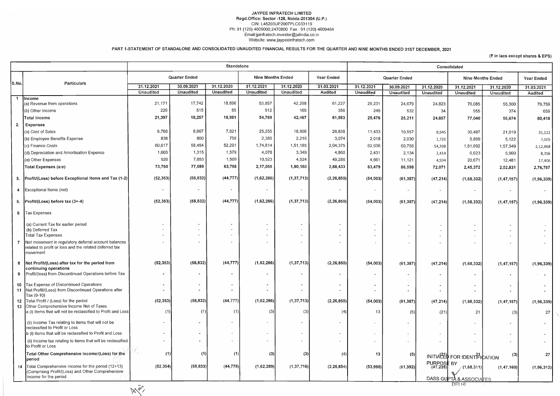### JA YPEE INFRATECH LIMITED Regd.Office: Sector -128, Noida-201304 (U.P.) CIN: L45203UP2007PLC033119 Ph: 91 (120) 4609000,2470800 Fax: 91 (120) 4609464 Email:jpinfratech.investor@jalindia.co.in Website: www.jaypeeinfratech.com

PART 1-STATEMENT OF STANDALONE AND CONSOLIDATED UNAUDITED FINANCIAL RESULTS FOR THE QUARTER AND NINE MONTHS ENDED 31ST DECEMBER, 2021

|                |                                                                                                                                      |                      |                                    | Standalone                                 |            |                  |                          | Consolidated         |                  |                          |                                       |                  |              |
|----------------|--------------------------------------------------------------------------------------------------------------------------------------|----------------------|------------------------------------|--------------------------------------------|------------|------------------|--------------------------|----------------------|------------------|--------------------------|---------------------------------------|------------------|--------------|
|                |                                                                                                                                      | <b>Quarter Ended</b> |                                    | <b>Nine Months Ended</b>                   |            | Year Ended       |                          | <b>Quarter Ended</b> |                  | <b>Nine Months Ended</b> |                                       |                  |              |
| S.No.          | Particulars                                                                                                                          | 31.12.2021           | 30.09.2021                         | 31.12.2020                                 | 31.12.2021 | 31.12.2020       | 31.03.2021               | 31.12.2021           | 30.09.2021       | 31.12.2020               | 31.12.2021                            | 31.12.2020       | 31.03.2021   |
|                |                                                                                                                                      | <b>Unaudited</b>     | Unaudited                          | Unaudited                                  | Unaudited  | <b>Unaudited</b> | Audited                  | <b>Unaudited</b>     | <b>Unaudited</b> | <b>Unaudited</b>         | <b>Unaudited</b>                      | <b>Unaudited</b> | Audited      |
| -1             | Income:<br>(a) Revenue from operations                                                                                               | 21,171               | 17,742                             | 18,896                                     | 53,857     | 42,298           | 61,227                   | 29,231               | 24,679           | 24,823                   | 76,085                                | 55,300           | 79,759       |
|                | (b) Other Income                                                                                                                     | 226                  | 515                                | 85                                         | 912        | 169              | 356                      | 245                  | 532              | -34                      | 955                                   | 374              | 659          |
|                | Total Income                                                                                                                         | 21,397               | 18,257                             | 18,981                                     | 54,769     | 42,467           | 61,583                   | 29,476               | 25,211           | 24,857                   | 77,040                                | 55,674           | 80,418       |
| 2.             | <b>Expenses</b>                                                                                                                      |                      |                                    |                                            |            |                  |                          |                      |                  |                          |                                       |                  |              |
|                | (a) Cost of Sales                                                                                                                    | 9,766                | 8,667                              | 7,621                                      | 25,255     | 18,906           | 26,838                   | 11,433               | 10,557           | 8,945                    | 30,487                                | 21,919           | 31,122       |
|                | (b) Employee Benefits Expense                                                                                                        | 838                  | 800                                | 758                                        | 2,385      | 2,216            | 3,074                    | 2,018                | 2,030            | 1,720                    | 5,899                                 | 5,122            | 7,005        |
|                | (c) Finance Costs                                                                                                                    | 60,617               | 58,454                             | 52,291                                     | 1,74,814   | 1,51,185         | 2,04,375                 | 62,936               | 60,756           | 54,398                   | 1,81,692                              | 1,57,349         | 2,12,868     |
|                | (d) Depreciation and Amortisation Expense                                                                                            | 1,603                | 1,315                              | 1,579                                      | 4,078      | 3,349            | 4,860                    | 2,431                | 2,134            | 2,414                    | 6,623                                 | 5,960            | 8,356        |
|                | (e) Other Expenses                                                                                                                   | 926                  | 7,853                              | 1,509                                      | 10,523     | 4,524            | 49,286                   | 4,661                | 11,121           | 4,594                    | 20,671                                | 12,481           | 17,406       |
|                | Total Expenses (a:e)                                                                                                                 | 73,750               | 77,089                             | 63,758                                     | 2,17,055   | 1,80,180         | 2,88,433                 | 83,479               | 86,598           | 72,071                   | 2,45,372                              | 2,02,831         | 2,76,757     |
|                | 3. Profit/(Loss) before Exceptional Items and Tax (1-2)                                                                              | (52, 353)            | (58, 832)                          | (44, 777)                                  | (1,62,286) | (1, 37, 713)     | (2, 26, 850)             | (54,003)             | (61, 387)        | (47, 214)                | (1,68,332)                            | (1, 47, 157)     | (1,96,339)   |
|                | 4 Exceptional Items (net)                                                                                                            | $\blacksquare$       | $\overline{\phantom{a}}$           | $\sim$                                     | $\sim$     |                  | $\overline{\phantom{a}}$ | $\sim$               |                  | $\overline{\phantom{a}}$ |                                       |                  |              |
|                | 5. $ Profit  (Loss) before tax (3+-4)$                                                                                               | (52, 353)            | (58, 832)                          | (44, 777)                                  | (1,62,286) | (1, 37, 713)     | (2, 26, 850)             | (54,003)             | (61, 387)        | (47, 214)                | (1,68,332)                            | (1, 47, 157)     | (1,96,339)   |
| 6 <sup>1</sup> | Tax Expenses                                                                                                                         |                      |                                    |                                            |            |                  |                          |                      |                  |                          |                                       |                  |              |
|                | (a) Current Tax for earlier period                                                                                                   |                      |                                    |                                            |            |                  | $\sim$                   |                      | $\blacksquare$   |                          |                                       | $\sim$           |              |
|                | (b) Deferred Tax<br><b>Total Tax Expenses</b>                                                                                        |                      | $\sim$<br>$\overline{\phantom{a}}$ | $\blacksquare$<br>$\overline{\phantom{a}}$ |            |                  | $\sim$                   | $\sim$<br>$\sim$     |                  |                          |                                       |                  |              |
|                | Net movement in regulatory deferral account balances<br>related to profit or loss and the related deferred tax<br><b>Imovement</b>   |                      | $\overline{\phantom{a}}$           | $\overline{\phantom{a}}$                   |            |                  |                          |                      |                  |                          |                                       |                  |              |
| 8              | Net Profit/(Loss) after tax for the period from<br>continuing operations                                                             | (52, 353)            | (58, 832)                          | (44, 777)                                  | (1,62,286) | (1, 37, 713)     | (2, 26, 850)             | (54,003)             | (61, 387)        | (47, 214)                | (1,68,332)                            | (1, 47, 157)     | (1,96,339)   |
|                | 9 Profit/(loss) from Discontinued Operations before Tax                                                                              |                      |                                    |                                            |            |                  |                          |                      |                  |                          |                                       |                  |              |
|                | 10 Tax Expense of Discontinued Operations                                                                                            |                      | $\blacksquare$                     | $\blacksquare$                             |            |                  |                          | $\bullet$            |                  |                          | $\blacksquare$                        |                  |              |
|                | 11 Net Profit/(Loss) from Discontinued Operations after<br>Tax (9-10)                                                                |                      | $\blacksquare$                     | $\sim$                                     |            |                  |                          | $\blacksquare$       |                  |                          | $\sim$                                |                  |              |
|                | 12   Total Profit / (Loss) for the period<br>13 Other Comprehensive Income Net of Taxes                                              | (52, 353)            | (58, 832)                          | (44, 777)                                  | (1,62,286) | (1, 37, 713)     | (2, 26, 850)             | (54,003)             | (61, 387)        | (47, 214)                | (1,68,332)                            | (1, 47, 157)     | (1, 96, 339) |
|                | a (i) Items that will not be reclassified to Profit and Loss                                                                         | (1)                  | (1)                                |                                            | (3)        | (3)              |                          | 13                   | (5)              | (21)                     | 21                                    | (3)              | 27           |
|                | (ii) Income Tax relating to items that will not be<br>reclassified to Profit or Loss                                                 |                      |                                    |                                            |            |                  |                          |                      |                  |                          |                                       |                  |              |
|                | b (i) Items that will be reclassified to Profit and Loss                                                                             |                      |                                    | $\sim$                                     |            |                  |                          |                      |                  |                          |                                       |                  |              |
|                | (ii) Income tax relating to items that will be reclassified<br>to Profit or Loss                                                     |                      |                                    |                                            |            |                  |                          | $\sim$               |                  |                          |                                       |                  |              |
|                | Total Other Comprehensive Income/(Loss) for the<br>period                                                                            | (1)                  | (1)                                | (1)                                        | (3)        | (3)              | (4)                      | 13                   | (5)              |                          | INITIALED FOR IDENTIFICATION          | (3)              | 27           |
|                | 14   Total Comprehensive Income for the period (12+13)<br>(Comprising Profit/(Loss) and Other Comprehensive<br>Income for the period | (52, 354)            | (58, 833)                          | (44, 778)                                  | (1,62,289) | (1,37,716)       | (2, 26, 854)             | (53,990)             | (61, 392)        | PURPOSE BY<br>(47,235)   | (1,68,311)<br>DASS GUPTA & ASSOCIATES | (1, 47, 160)     | (1, 96, 312) |
|                |                                                                                                                                      | $X^{\delta'}$        |                                    |                                            |            |                  |                          |                      |                  |                          | <b>DELHT</b>                          |                  |              |

### $($ ₹ in lacs except shares & EPS)

 $\mathcal{A}$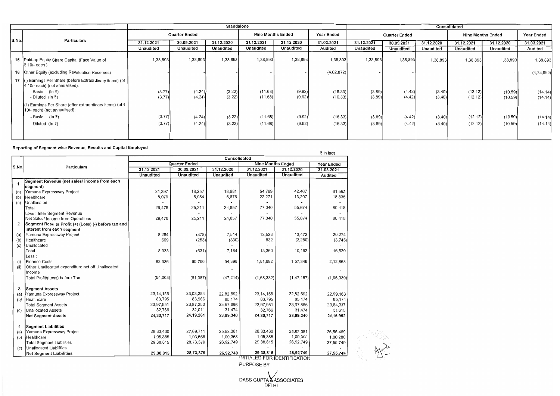# Reporting of Segment wise Revenue, Results and Capital Employed

DASS GUPTA & ASSOCIATES DELHI

|       |                                                                                              | <b>Standalone</b>    |            |                          |            |                   |               | Consolidated |            |                          |            |                   |            |
|-------|----------------------------------------------------------------------------------------------|----------------------|------------|--------------------------|------------|-------------------|---------------|--------------|------------|--------------------------|------------|-------------------|------------|
|       |                                                                                              | <b>Quarter Ended</b> |            | <b>Nine Months Ended</b> |            | <b>Year Ended</b> | Quarter Ended |              |            | <b>Nine Months Ended</b> |            | <b>Year Ended</b> |            |
| S.No. | Particulars                                                                                  | 31.12.2021           | 30.09.2021 | 31.12.2020               | 31.12.2021 | 31.12.2020        | 31.03.2021    | 31.12.2021   | 30.09.2021 | 31.12.2020               | 31.12.2021 | 31.12.2020        | 31.03.2021 |
|       |                                                                                              | Unaudited            | Unaudited  | Unaudited                | Unaudited  | Unaudited         | Audited       | Unaudited    | Unaudited  | <b>Unaudited</b>         | Unaudited  | Unaudited         | Audited    |
|       | 15 Paid-up Equity Share Capital (Face Value of<br> ₹ 10/- each )                             | 1,38,893             | 1,38,893   | 1,38,893                 | 1,38,893   | 1,38,893          | 1,38,893      | 1,38,893     | 1,38,893   | 1,38,893                 | 1,38,893   | 1,38,893          | 1,38,893   |
|       | 16 Other Equity (excluding Revaluation Reserves)                                             |                      |            |                          |            |                   | (4,62,872)    |              |            |                          |            |                   | (4,78,690) |
|       | 17 (i) Earnings Per Share (before Extraordinary items) (of<br>₹ 10/- each) (not annualised): |                      |            |                          |            |                   |               |              |            |                          |            |                   |            |
|       | - Basic (In $\bar{z}$ )                                                                      | (3.77)               | (4.24)     | (3.22)                   | (11.68)    | (9.92)            | (16.33)       | (3.89)       | (4.42)     | (3.40)                   | (12.12)    | (10.59)           | (14.14)    |
|       | - Diluted (In $\bar{z}$ )                                                                    | (3.77)               | (4.24)     | (3.22)                   | (11.68)    | (9.92)            | (16.33)       | (3.89)       | (4.42)     | (3.40)                   | (12.12)    | (10.59)           | (14.14)    |
|       | (ii) Earnings Per Share (after extraordinary items) (of ₹<br>10/- each) (not annualised):    |                      |            |                          |            |                   |               |              |            |                          |            |                   |            |
|       | - Basic (In $\overline{z}$ )                                                                 | (3.77)               | (4.24)     | (3.22)                   | (11.68)    | (9.92)            | (16.33)       | (3.89)       | (4.42)     | (3.40)                   | (12.12)    | (10.59)           | (14.14)    |
|       | - Diluted (In $\bar{z}$ )                                                                    | (3.77)               | (4.24)     | (3.22)                   | (11.68)    | (9.92)            | (16.33)       | (3.89)       | (4.42)     | (3.40)                   | (12.12)    | (10.59)           | (14.14)    |
|       |                                                                                              |                      |            |                          |            |                   |               |              |            |                          |            |                   |            |

|       |                                                      |                  |                      |                  |                                          |                  | ₹ in lacs      |
|-------|------------------------------------------------------|------------------|----------------------|------------------|------------------------------------------|------------------|----------------|
|       |                                                      |                  |                      | Consolidated     |                                          |                  |                |
|       |                                                      |                  | <b>Quarter Ended</b> |                  | <b>Nine Months Ended</b>                 | Year Ended       |                |
| S.No. | <b>Particulars</b>                                   | 31.12.2021       | 30.09.2021           | 31.12.2020       | 31.12.2021                               | 31.12.2020       | 31.03.2021     |
|       |                                                      | <b>Unaudited</b> | <b>Unaudited</b>     | <b>Unaudited</b> | Unaudited                                | <b>Unaudited</b> | <b>Audited</b> |
| 1     | Segment Revenue (net sales/ income from each         |                  |                      |                  |                                          |                  |                |
|       | segment)                                             |                  |                      |                  |                                          |                  |                |
| (a)   | Yamuna Expressway Project                            | 21,397           | 18,257               | 18,981           | 54,769                                   | 42,467           | 61,583         |
| (b)   | Healthcare                                           | 8,079            | 6,954                | 5,876            | 22,271                                   | 13,207           | 18,835         |
| (c)   | Unallocated                                          |                  |                      |                  |                                          |                  |                |
|       | Total                                                | 29,476           | 25,211               | 24,857           | 77,040                                   | 55,674           | 80,418         |
|       | Less : Inter Segment Revenue                         |                  |                      |                  |                                          |                  |                |
|       | Net Sales/ Income from Operations                    | 29,476           | 25,211               | 24,857           | 77,040                                   | 55,674           | 80,418         |
| 2     | Segment Results Profit (+) (Loss) (-) before tax and |                  |                      |                  |                                          |                  |                |
|       | interest from each segment                           |                  |                      |                  |                                          |                  |                |
| (a)   | Yamuna Expressway Project                            | 8,264            | (378)                | 7,514            | 12,528                                   | 13,472           | 20,274         |
| (b)   | Healthcare                                           | 669              | (253)                | (330)            | 832                                      | (3,280)          | (3,745)        |
| (c)   | Unallocated                                          |                  |                      |                  |                                          |                  |                |
|       | Total                                                | 8,933            | (631)                | 7,184            | 13,360                                   | 10,192           | 16,529         |
|       | $-ess:$                                              |                  |                      |                  |                                          |                  |                |
| (i)   | <b>Finance Costs</b>                                 | 62,936           | 60,756               | 54,398           | 1,81,692                                 | 1,57,349         | 2,12,868       |
| (ii)  | Other Unallocated expenditure net off Unallocated    |                  |                      |                  |                                          |                  |                |
|       | Income                                               |                  |                      |                  |                                          |                  |                |
|       | Total Profit/(Loss) before Tax                       | (54,003)         | (61, 387)            | (47, 214)        | (1,68,332)                               | (1, 47, 157)     | (1,96,339)     |
|       |                                                      |                  |                      |                  |                                          |                  |                |
| 3     | <b>Segment Assets</b>                                |                  |                      |                  |                                          |                  |                |
| (a)   | Yamuna Expressway Project                            | 23, 14, 156      | 23,03,284            | 22,82,692        | 23, 14, 156                              | 22,82,692        | 22,99,163      |
| (b)   | Healthcare                                           | 83,795           | 83,966               | 85,174           | 83,795                                   | 85,174           | 85,174         |
|       | <b>Total Segment Assets</b>                          | 23,97,951        | 23,87,250            | 23,67,866        | 23,97,951                                | 23,67,866        | 23,84,337      |
| (c)   | <b>Unallocated Assets</b>                            | 32,766           | 32,011               | 31,474           | 32,766                                   | 31,474           | 31,615         |
|       | <b>Net Segment Assets</b>                            | 24,30,717        | 24, 19, 261          | 23,99,340        | 24,30,717                                | 23,99,340        | 24, 15, 952    |
|       |                                                      |                  |                      |                  |                                          |                  |                |
| 4     | <b>Segment Liabilities</b>                           |                  |                      |                  |                                          |                  |                |
| (a)   | Yamuna Expressway Project                            | 28,33,430        | 27,69,711            | 25,92,381        | 28,33,430                                | 25,92,381        | 26,55,469      |
| (b)   | Healthcare                                           | 1,05,385         | 1,03,668             | 1,00,368         | 1,05,385                                 | 1,00,368         | 1,00,280       |
|       | <b>Total Segment Liabilities</b>                     | 29,38,815        | 28,73,379            | 26,92,749        | 29,38,815                                | 26,92,749        | 27,55,749      |
| (c)   | Unallocated Liabilities                              |                  |                      |                  |                                          |                  |                |
|       | <b>Net Segment Liabilities</b>                       | 29,38,815        | 28,73,379            | 26,92,749        | 29,38,815<br>MITIALED COD IDENTIFICATION | 26,92,749        | 27,55,749      |



NIIIALED FOR IDENTIFICATION PURPOSE BY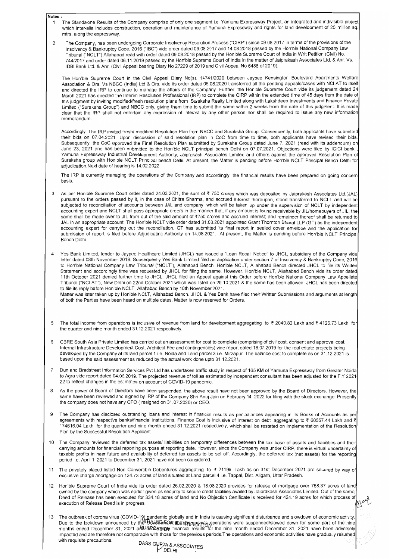#### **Notes:**

- 1 The Standalone Results of the Company comprise of only one segment i.e. Yamuna Expressway Project, an integrated and indivisible project which inter-alia includes construction, operation and maintenance of Yamuna Expressway and rights for land development of 25 million sq. mtrs. along the expressway.
- 2 The Company, has been undergoing Corporate Insolvency Resolution Process ("CIRP") since 09.08.2017 in terms of the provisions of the Insolvency & Bankruptcy Code, 2016 ("IBC") vide order dated 09.08.2017 and 14.08.2018 passed by the Hon'ble National Company Law Tribunal ("NCLT") Allahabad read with order dated 09.08.2018 passed by the Hon'ble Supreme Court of India in Writ Petition (Civil) No. 744/2017 and order dated 06.11.2019 passed by the Hon'ble Supreme Court of India in the matter of Jaiprakash Associates Ltd. & Anr. Vs. IDBI Bank Ltd. & Anr. (Civil Appeal bearing Diary No 27229 of 2019 and Civil Appeal No 6486 of 2019).

The Hon'ble Supreme Court in the Civil Appeal Diary No(s). 14741/2020 between Jaypee Kensington Boulevard Apartments Welfare Association & Ors. Vs NBCC (India) Ltd & Ors. vide its order dated 06.08.2020 transferred all the pending appeals/cases with NCLAT to itself and directed the IRP to continue to manage the affairs of the Company. Further, the Hon'ble Supreme Court vide its judgement dated 24 March 2021 has directed the Interim Resolution Professional (IRP) to complete the CIRP within the extended time of 45 days from the date of this judgment by inviting modified/fresh resolution plans from Suraksha Realty Limited along with Lakshdeep Investments and Finance Private Limited ("Suraksha Group") and NBCC only, giving them time to submit the same within 2 weeks from the date of this judgment. It is made clear that the IRP shall not entertain any expression of interest by any other person nor shall be required to issue any new information memorandum.

Accordingly, The IRP invited fresh/ modified Resolution Plan from NBCC and Suraksha Group. Consequently, both applicants have submitted their bids on 07.04.2021. Upon discussion of said resolution plan in CoC from time to time, both applicants have revised their bids. Subsequently, the CoC approved the Final Resolution Plan submitted by Suraksha Group dated June 7, 2021 (read with its addendum) on June 23, 2021 and has been submitted to the Hon'ble NCLT principal bench Delhi on 07.07.2021. Objections were filed by ICICI bank Yamuna Expressway Industrial Development Authority, Jaiprakash Associates Limited and others against the approved Resolution Plan of Suraksha group with Hon'ble NCLT Principal bench Delhi. At present, the Matter is pending before Hon'ble NCLT Principal Bench Delhi for adjudication. Next date of hearing is 14.02.2022.

Matter was later taken up by Hon'ble NCLT, Allahabad Bench. JHCL & Yes Bank have filed their Written Submissions and arguments at length of both the Parties have been heard on multiple dates. Matter is now reserved for Orders.

- 5 The total income from operations is inclusive of revenue from land for development aggregating to ₹ 2040.82 Lakh and ₹ 4126.73 Lakh for the quarter and nine month ended 31.12.2021 respectively.
- 6 CBRE South Asia Private Limited has carried out an assessment for cost to complete (comprising of civil cost, consent and approval cost, Internal Infrastructure Development Cost, Architect Fee and contingencies) vide report dated 18.07.2019 for the real estate projects being developed by the Company at its land parcel 1 i.e. Noida and Land parcel 3 i.e. Mirzapur. The balance cost to complete as on 31.12.2021 is based upon the said assessment as reduced by the actual work done upto 31.12.2021.
- 7 Dun and Bradstreet Information Services Pvt Ltd has undertaken traffic study in respect of 165 KM of Yamuna Expressway from Greater Noida to Agra vide report dated 04.06.2019. The projected revenue of toll as estimated by independent consultant has been adjusted for the F.Y 2021 22 to reflect changes in the estimates on account of COVID-19 pandemic.
- 8 As the power of Board of Directors have been suspended, the above result have not been approved by the Board of Directors. However, the same have been reviewed and signed by IRP of the Company Shri Anuj Jain on February 14, 2022 for filing with the stock exchange. Presently the company does not have any CFO ( resigned on 31.07.2020) or CEO.
- 9 The Company has disclosed outstanding loans and interest in financial results as per balances appearing in its Books of Accounts as per agreements with respective banks/financial institutions. Finance Cost is inclusive of Interest on debt aggregating to ₹ 60557.44 Lakh and ₹

The IRP is currently managing the operations of the Company and accordingly, the financial results have been prepared on going concern basis.

- 3 As per Hon'ble Supreme Court order dated 24.03.2021, the sum of ₹750 crores which was deposited by Jaiprakash Associates Ltd.(JAL) pursuant to the orders passed by it, in the case of Chitra Sharma, and accrued interest thereupon, stood transferred to NCLT and will be subjected to reconciliation of accounts between JAL and company which will be taken up under the supervision of NCLT by independent accounting expert and NCLT shall pass appropriate orders in the manner that, if any amount is found receivable by JIL/homebuyers of JIL, the same shall be made over to JIL from out of the said amount of *V50* crores and accrued interest; and remainder thereof shall be returned to JAL in an appropriate account. The Hon'ble NCLT vide order dated 31.03.2021 appointed Grant Thornton Bharat LLP (GT) as the independent accounting expert for carrying out the reconciliation. GT has submitted its final report in sealed cover envelope and the application for submission of report is filed before Adjudicating Authority on 14.08.2021. At present, the Matter is pending before Hon'ble NCLT Principal Bench Delhi.
- 4 Yes Bank Limited, lender to Jaypee Healthcare Limited (JHCL) had issued a "Loan Recall Notice" to JHCL, subsidiary of the Company vide letter dated 08th November 2019. Subsequently Yes Bank Limited filed an application under section 7 of Insolvency & Bankruptcy Code, 2016 to Hon'ble National Company Law Tribunal ("NCLT"), Allahabad Bench. Hon'ble NCLT, Allahabad Bench directed JHCL to file its Written Statement and accordingly time was requested by JHCL for filing the same. However, Hon'ble NCLT, Allahabad Bench vide its order dated 11th October 2021 denied further time to JHCL. JHCL filed an Appeal against this Order before Hon'ble National Company Law Appellate Tribunal ("NCLAT"), New Delhi on 22nd October 2021 which was listed on 29.10.2021 & the same has been allowed. JHCL has been directed to file its reply before Hon'ble NCLT, Allahabad Bench by 10th November'2021.

- 10 The Company reviewed the deferred tax assets/ liabilities on temporary differences between the tax base of assets and liabilities and their carrying amounts for financial reporting purpose at reporting date. However, since the Company was under CIRP, there is virtual uncertainty of taxable profits in near future and availability of deferred tax assets to be set off. Accordingly, the deferred tax (net assets) for the reporting period i.e. April 1,2021 to December 31,2021 have not been considered.
- 11 The privately placed listed Non Convertible Debentures aggregating to ₹ 21195 Lakh as on 31st December 2021 are secured by way of exclusive charge /mortgage on 124.73 acres of land situated at Land parcel 4 i.e. Tappal, Dist. Aligarh, Uttar Pradesh.
- 12 Hon'ble Supreme Court of India vide its order dated 26.02.2020 & 18.08.2020 provides for release of mortgage over 758.37 acres of land owned by the company which was earlier given as security to secure credit facilities availed by Jaiprakash Associates Limited. Out of the same Deed of Release has been executed for 334.18 acres of land and No Objection Certificate is received for 424.19 acres for which process of execution of Release Deed is in progress.
- 3. The outbreak of corona virus (COVID-19) pandemic globally and in India is causing significant disturbance and slowdown of economic activity Due to the lockdown announced by the B<del>&GD Teen</del> ith  $\epsilon$  operations were suspended/slowed down for some part of the nine months ended December 31, 2021 aRUBR@S#naw financial results for the nine month ended December 31, 2021 have been adversely impacted and are therefore not comparable with those for the previous periods.The operations and economic activities have gradually resumed with requisite precautions. <sup>JASS</sup> GUPTA & ASSOCIATES

DELHI

174616.04 Lakh for the quarter and nine month ended 31.12.2021 respectively, which shall be restated on implementation of the Resolution Plan by the Successful Resolution Applicant.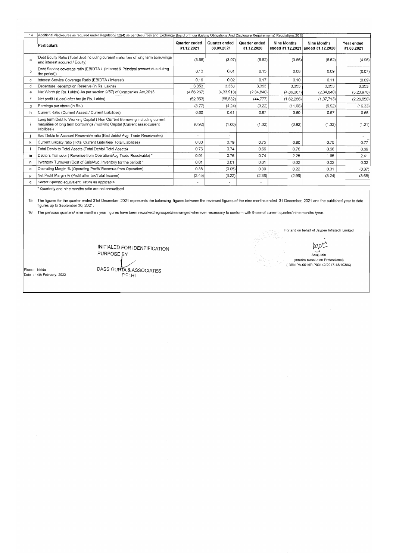| 14          | Additional disclosures as required under Regulation 52(4) as per Securities and Exchange Board of India (Listing Obligations And Disclosure Requirements) Requlations.2015 |                                    |                             |                             |                |                                                  |                          |  |  |
|-------------|----------------------------------------------------------------------------------------------------------------------------------------------------------------------------|------------------------------------|-----------------------------|-----------------------------|----------------|--------------------------------------------------|--------------------------|--|--|
|             | <b>Particulars</b>                                                                                                                                                         | <b>Quarter ended</b><br>31.12.2021 | Quarter ended<br>30.09.2021 | Quarter ended<br>31.12.2020 | Nine Months    | Nine Months<br>ended 31.12.2021 ended 31.12.2020 | Year ended<br>31.03.2021 |  |  |
| a           | Debt Equity Ratio (Total debt including cureent maturities of long term borrowings<br>and interest accured / Equity)                                                       | (3.66)                             | (3.97)                      | (6.62)                      | (3.66)         | (6.62)                                           | (4.96)                   |  |  |
| b           | Debt Service coverage ratio (EBIDTA / (Interest & Principal amount due duirng<br>the period))                                                                              | 0.13                               | 0.01                        | 0.15                        | 0.08           | 0.09                                             | (0.07)                   |  |  |
| c           | Interest Service Coverage Ratio (EBIDTA / Interest)                                                                                                                        | 0.16                               | 0.02                        | 0.17                        | 0.10           | 0.11                                             | (0.09)                   |  |  |
| d           | Debenture Redemption Reserve (in Rs. Lakhs)                                                                                                                                | 3,353                              | 3,353                       | 3.353                       | 3,353          | 3.353                                            | 3,353                    |  |  |
| e           | Net Worth (in Rs. Lakhs) As per section 2(57) of Companies Act, 2013                                                                                                       | (4,86,267)                         | (4, 33, 913)                | (2.34, 840)                 | (4,86,267)     | (2, 34, 840)                                     | (3,23,978)               |  |  |
| $\mathsf f$ | Net profit / (Loss) after tax (in Rs. Lakhs)                                                                                                                               | (52, 353)                          | (58, 832)                   | (44, 777)                   | (1,62,286)     | (1, 37, 713)                                     | (2, 26, 850)             |  |  |
| g           | Earnings per share (in Rs.)                                                                                                                                                | (3.77)                             | (4.24)                      | (3.22)                      | (11.68)        | (9.92)                                           | (16.33)                  |  |  |
| h           | Current Ratio (Current Assest / Current Liabilities)                                                                                                                       | 0.60                               | 0.61                        | 0.67                        | 0.60           | 0.67                                             | 0.66                     |  |  |
|             | Long term Debt to Working Capital (Non Current Borrowing including current<br>maturities of long term borrowings / working Capital (Current asset-current<br>liabilities)) | (0.92)                             | (1.00)                      | (1.32)                      | (0.92)         | (1.32)                                           | (1.21)                   |  |  |
|             | Bad Debts to Account Recevable ratio (Bad debts/ Avg. Trade Receivables)                                                                                                   |                                    | $\blacksquare$              | $\overline{\phantom{a}}$    | $\blacksquare$ |                                                  |                          |  |  |
| k           | Current Liability ratio (Total Current Liabilities/ Total Liabilities)                                                                                                     | 0.80                               | 0.79                        | 0.75                        | 0.80           | 0.75                                             | 0.77                     |  |  |
|             | Total Debts to Total Assets (Total Debts/ Total Assets)                                                                                                                    | 0.76                               | 0.74                        | 0.66                        | 0.76           | 0.66                                             | 0.69                     |  |  |
| m           | Debtors Turnover (Revenue from Operation/Avg Trade Receivable) *                                                                                                           | 0.91                               | 0.76                        | 0.74                        | 2.25           | 1.65                                             | 2.41                     |  |  |
| n.          | Inventory Turnover (Cost of Sale/Avg. Inventory for the period) *                                                                                                          | 0.01                               | 0.01                        | 0.01                        | 0.02           | 0.02                                             | 0.02                     |  |  |
| $\circ$     | Operating Margin % (Operating Profit/ Revenue from Operation)                                                                                                              | 0.38                               | (0.05)                      | 0.39                        | 0.22           | 0.31                                             | (0.37)                   |  |  |
| p           | Net Profit Margin % (Profit after tax/Total Income)                                                                                                                        | (2.45)                             | (3.22)                      | (2.36)                      | (2.96)         | (3.24)                                           | (3.68)                   |  |  |
| q           | Sector Specific equivalent Ratios as applicable                                                                                                                            |                                    | $\overline{\phantom{a}}$    |                             |                |                                                  |                          |  |  |

15 The figures for the quarter ended 31st December, 2021 represents the balancing figures between the reviewed figures of the nine months ended 31 December, 2021 and the published year to date figures up to September 30, 2021.

16 The previous quarters/ nine months / year figures have been reworked/regrouped/rearranged wherever necessary to conform with those of current quarter/ nine months /year.

INITIALED FOR IDENTIFICATION PURPOSE BY Anuj Jain Anully Anully Anully Anully Anully Anully Anully Anully Anully Anully Anully Anully Anully Anully Anully Anully Anully Anully Anully Anully Anully Anully Anully Anully Anully Anully Anully Anully Anull

For and on behalf of Jaypee Infratech Limited . (Interim Resolution Professional) (IBBI/IPA-001/IP-P00142/2017-18/10306)

 $\sim 10^{-1}$  $\frac{1}{2} \left( \frac{1}{2} \right)$ 

Place: I Noida  $\vert$ Date : 14th February, 2022 DASS GUPITA & ASSOCIATES

\* Quarterly and nine months ratio are not annualised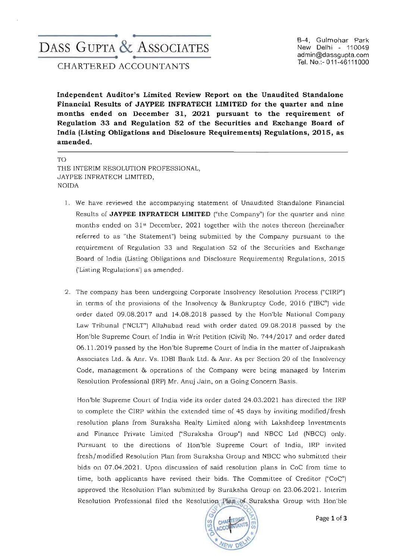# ------------------\_\_e. ..-------------------- DASS GUPTA & ASSOCIATES ------------------\_\_e. ..--------------------

B-4, Gulmohar Park New Delhi - 110049 admin@dassgupta.com Tel. No.:- 011-46111000

CHARTERED ACCOUNTANTS

Independent Auditor's Limited Review Report on the Unaudited Standalone Financial Results of JAYPEE INFRATECH LIMITED for the quarter and nine months ended on December 31, 2021 pursuant to the requirement of Regulation 33 and Regulation 52 of the Securities and Exchange Board of India (Listing Obligations and Disclosure Requirements) Regulations, 2015, as amended.

TO THE INTERIM RESOLUTION PROFESSIONAL, JAYPEE INFRATECH LIMITED, **NOIDA** 

- 1. We have reviewed the accompanying statement of Unaudited Standalone Financial Results of JAYPEE INFRATECH LIMITED ("the Company") for the quarter and nine months ended on  $31<sup>st</sup>$  December, 2021 together with the notes thereon (hereinafter referred to as "the Statement") being submitted by the Company pursuant to the requirement of Regulation 33 and Regulation 52 of the Securities and Exchange Board of India (Listing Obligations and Disclosure Requirements) Regulations, 2015 ('Listing Regulations') as amended.
- 2. The company has been undergoing Corporate Insolvency Resolution Process ("CIRP") in terms of the provisions of the Insolvency & Bankruptcy Code, 2016 ("IBC") vide order dated 09.08.2017 and 14.08.2018 passed by the Hon'ble National Company Law Tribunal ("NCLT") Allahabad read with order dated 09.08.2018 passed by the Hon'ble Supreme Court of India in Writ Petition (Civil) No. 744/2017 and order dated 06.11. 2019 passed by the Hon'ble Supreme Court of India in the matter of Jaiprakash Associates Ltd. & Anr. Ys. IDBI Bank Ltd. & Anr. As per Section 20 of the In solvency Code, management & operations of the Company were being managed by Interim Resolution Professional (IRP) Mr. Anuj Jain, on a Going Concern Basis.

Hon'ble Supreme Court of India vide its order dated 24.03.2021 has directed the IRP to complete the CIRP within the extended time of 45 days by inviting modified/fresh resolution plans from Suraksha Realty Limited along with Lakshdeep Investments and Finance Private Limited ("Suraksha Group") and NBCC Ltd (NBCC) only. Pursuant to the directions of Hon'ble Supreme Court of India, IRP invited fresh/modified Resolution Plan from Suraksha Group and NBCC who submitted their bids on 07.04.2021. Upon discussion of said resolution plans in CoC from time to time, both applicants have revised their bids. The Committee of Creditor ("CoC") a pproved the Resolution Plan submitted by Suraksha Group on 23.06.2021. Interim Resolution Professional filed the Resolution Plan of Suraksha Group with Hon ble

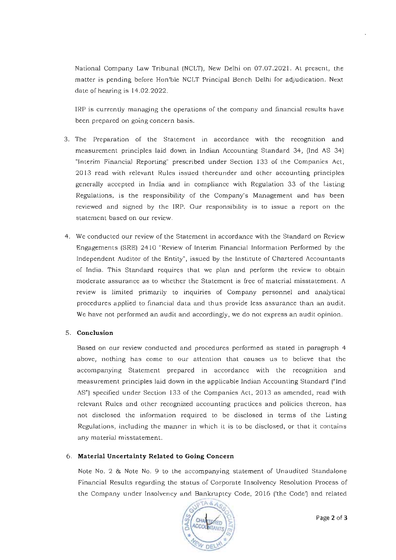National Company Law Tribunal (NCLT), New Delhi on 07.07.2021. At present, the matter is pending before Hon'ble NCLT Principal Bench Delhi for adjudication. Next date of hearing is 14.02.2022.

IRP is currently managing the operations of the company and financial results have **been prepared on going concern basis.** 

- **3. The Preparation of the Statement in accordance with the recognition and**  measurement principles laid down in Indian Accounting Standard 34, (Ind AS 34) "Interim Financial Reporting" prescribed under Section 133 of the Companies Act, 20 13 read with relevant Rules issued thereunder and other accounting principles generally accepted in India and in compliance with Regulation 33 of the Listing Regulations, is the responsibility of the Company's Management and has been reviewed and signed by the IRP. Our responsibility is to issue a report on the **statement based on our review.**
- **4. We conducted our review of the Statement in accordance with the Standard on Review**  Engagements (SRE) 2410 "Review of Interim Financial Information Performed by the Independent Auditor of the Entity", issu ed by the Institute of Chartered Accountants of India. This Standard requires that we plan and perform the review to obtain **moderate assurance as to whether the Statement is free of material misstatement. A review is limited primarily to inquiries of Company personnel and analytical**  procedures applied to financial data and thus provide less assurance than an audit. **We have not performed an audit and accordingly, we do not express an audit opinion.**

# 5. **Conclusion**

**Based on our review conducted and procedures performed as stated in paragraph 4**  above, nothing has come to our attention that causes us to believe that the **accompanying Statement prepared 111 accordance with the recognition and**  measurement principles laid down in the applicable Indian Accounting Standard ("Ind AS") specified under Section 133 of the Companies Act, 2013 as amended, read with **relevant Rules and other recognized accounting practices and policies thereon, has not disclosed the information required to be disclosed in terms of the Listing Regulations, including the manner in which it is to be disclosed, or that it contains**  any material misstatement.

# 6. **Material Uncertainty Related to Going Concern**

Note No. 2 & Note No. 9 to the accompanying statement of Unaudited Standalone Financial Results regarding the status of Corporate Insolvency Resolution Process of the Company under Insolvency and Bankruptcy Code, 2016 ('the Code') and related

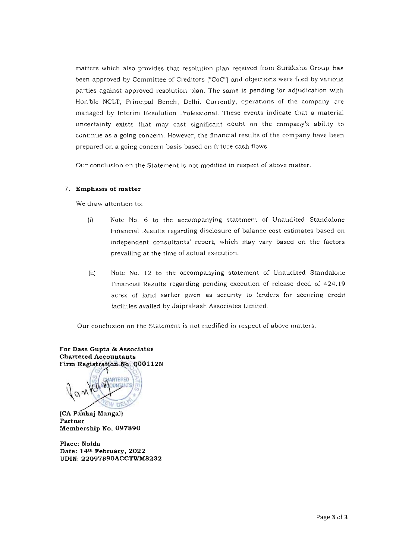**matters which also provides that resolution plan received from Suraksha Group has**  been approved by Committee of Creditors ("CoC") and objections were filed by various parties against approved resolution plan. The same is pending for adjudication with Hon'ble NCLT, Principal Bench, Delhi. Currently, operations of the company are **managed by Interim Resolution Professional. These events indicate that a material**  uncertainty exists that may cast significant doubt on the company's ability to **continue as a going concern. However, the financial results of the company have been prepared on a going concern basis based on future cash flows.** 

**Our conclusion on the Statement is not modified in respect of above matter.** 

#### 7. Emphasis of matter

**We draw attention to:** 

- $(i)$  Note No. 6 to the accompanying statement of Unaudited Standalone **Pinancial Results regarding disclosure of balance cost estimates based on independent consultants' report, which may vary based on the factors prevailing at the time of actual execution .**
- (ii) Note No. 12 to the accompanying statement of Unaudited Standalone Financial Results regarding pending execution of release deed of 424.19 acres of land earlier given as security to lenders for securing credit facilities availed by Jaiprakash Associates Limited.

**Our conclusion on the Statement is not modified in respect of above matters.** 

For Dass Gupta & Associates **Chartered Accountants** Firm Registration No. 000112N

ARTERED

(CA Pankaj Mangal) **Partner**  Membership No. 097890

Place: Noida Date: 14th February, 2022 UDlN: 22097890ACCTWM8232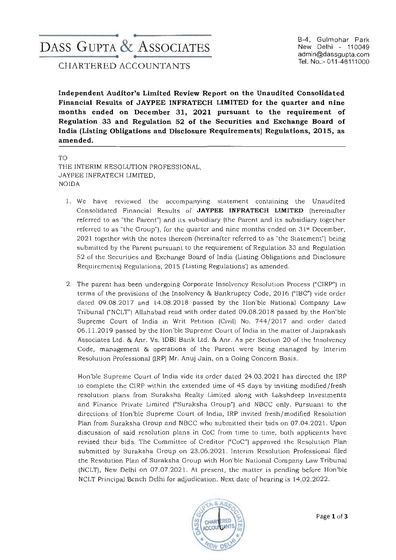# **--------------------.. ..-------------------** DASS GUPTA & ASSOCIATES **--------------------.. ..-------------------**

CHARTERED ACCOUNTANTS

B-4, Gulmohar Park New Delhi - 110049 admin@dassgupta.com Tel. No.:- 011-46111000

**Independent Auditor's Limited Review Report on the Unaudited Consolidated Financial Results of JAYPEE INFRATECH LIMITED for the quarter and nine months ended on December 31, 2021 pursuant to the requirement of Regulation 33 and Regulation 52 of the Securities and Exchange Board of India (Listing Obligations and Disclosure Requirements) Regulations, 2015, as amended.** 

TO THE INTERIM RESOLUTION PROFESSIONAL, JAYPEE INFRATECH LIMITED, NOIDA

- 1. We have reviewed the accompanying statement containing the Unaudited Consolidated Finan cial Results of **JAYPEE INFRATECH LIMITED** (hereinafter referred to as "the Parent") and its subsidiary (the Parent and its subsidiary together **referred to as "the Group"), for the quarter and nine months ended on 3 1st December,**  2021 together with the notes thereon (hereinafter referred to as "the Statement") being submitted by the Parent pursuant to the requirement of Regulation 33 and Regulation 52 of the Securities and Exchange Board of India (Listing Obligations and Disclosure Requirements) Regulations, 2015 ('Listing Regulations') as amended.
- 2. The parent has been undergoing Corporate Insolvency Resolution Process ("CIRP") in terms of the provisions of the Insolvency & Bankruptcy Code, 2016 ("IBC") vide order dated 09.08.2017 and 14.08.2018 passed by the Hon'ble National Company Law Tribunal ("NCLT") Allahabad read with order dated 09.08.2018 passed by the Hon'ble Supreme Court of India in Writ Petition (Civil) No. 744/2017 and order dated 06. 11.2019 passed by the Hon'ble Supreme Court of India in the matter of Jaiprakash Associates Ltd. & Anr. Vs. IDBI Bank Ltd. & Anr. As per Section 20 of the In solvency Code, management & operations of the Parent were being managed by Interim Resolution Professional (IRP) Mr. Anuj Jain, on a Going Concern Basis.

Hon'ble Supreme Court of India vide its order dated 24.03.2021 has directed the IRP to complete the CIRP within the extended time of 45 days by inviting modified/fresh resolution plans from Suraksha Realty Limited along with Lakshdeep Investments and Finance Private Limited ("Suraksha Group") and NBCC only. Pursuant to the directions of Hon'ble Supreme Court of India, lRP invited fresh/modified Resolution Plan from Suraksha Group and NBCC who submitted their bids on 07.04.2021. Upon **discussion of said resolution plans in CaC from time to time , both applicants have**  revised their bids. The Committee of Creditor ("CoC") a pproved the Resolution Plan submitted by Suraksha Group on 23.06.2021. Interim Resolution Professional filed the Resolution Plan of Suraksha Group with Hon'ble National Company Law Tribunal (NCLT), New Delhi on 07.07.2021. At present, the matter is pending before Hon'ble NCLT Principal Bench Delhi for adjudication. Next date of hearing is 14.02 .2022 .

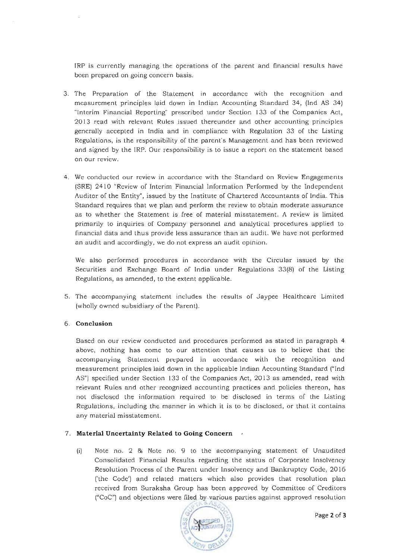**IRP is currently managing the operations of the parent and financial results have been prepared on going concern basis.** 

- **3. The Preparation of the Statement in accordance with the recognition and**  measurement principles laid down in Indian Accounting Standard 34, (lnd AS 34) "Interim Financial Reporting" prescribed under Section 133 of the Companies Act, 2013 read with relevant Rules issued thereunder and other accounting principles generally accepted in India and in compliance with Regulation 33 of the Listing Regulations, is the responsibility of the parent's Management and has been reviewed and signed by the IRP. Our responsibility is to issue a report on the statement based **on our review.**
- **4. We conducted our review in accordance with the Standard on Review Engagements**  (SRE) 2410 "Review of Interim Financial Information Performed by the Independent Auditor of the Entity", issued by the Institute of Chartered Accountants of India. This **Standard requires that we plan and perform the review to obtain moderate assurance as to whether the Statement is free of material misstatement. A review is limited**  primarily to inquiries of Company personnel and analytical procedures applied to **financial data and thus provide less assurance than an audit. We have not performed an audit and accordingly, we do not express an audit opinion.**

**We also performed procedures in accordance with the Circular issued by the**  Securities and Exchange Board of India under Regulations 33(8) of the Listing Regulations, as amended, to the extent applicable.

5. The accompanying statement includes the results of Jaypee Healthcare Limited (wholly owned subsidiary of the Parent).

# 6. **Conclusion**

**Based on our review conducted and procedures performed as stated in paragraph 4 above, nothing has come to our attention that causes us to believe that the**  accompanying Statement prepared in accordance with the recognition and **measurement principles laid down in the applicable Indian Accounting Standard (" Ind**  AS") specified under Section 133 of the Companies Act, 2013 as amended, read with **relevant Rules and other recognized accounting practices and policies thereon, has**  not disclosed the information required to be disclosed in terms of the Listing **Regulations, including the manner in which it is to be disclosed, or that it contains any material misstatement.** 

# 7. **Material Uncertainty Related to Going Concern**

(i) Note no. 2 & Note no. 9 to the accompanying statement of Unaudited Consolidated Financial Results regarding the status of Corporate Insolvency Resolution Process of the Parent under Insolvency and Bankruptcy Code, 2016 ('the Code') and related matters which also provides that resolution plan received from Suraksha Group has been a pproved by Committee of Creditors ("CoC") and objections were filed by various parties against approved resolution